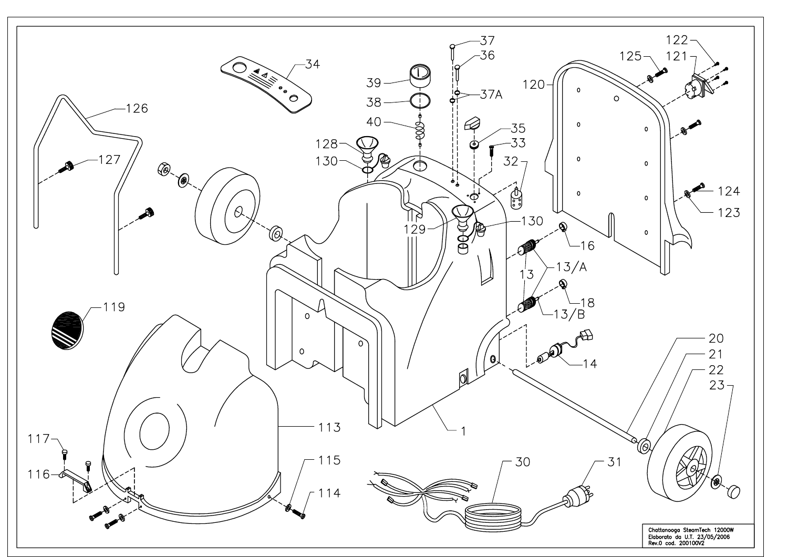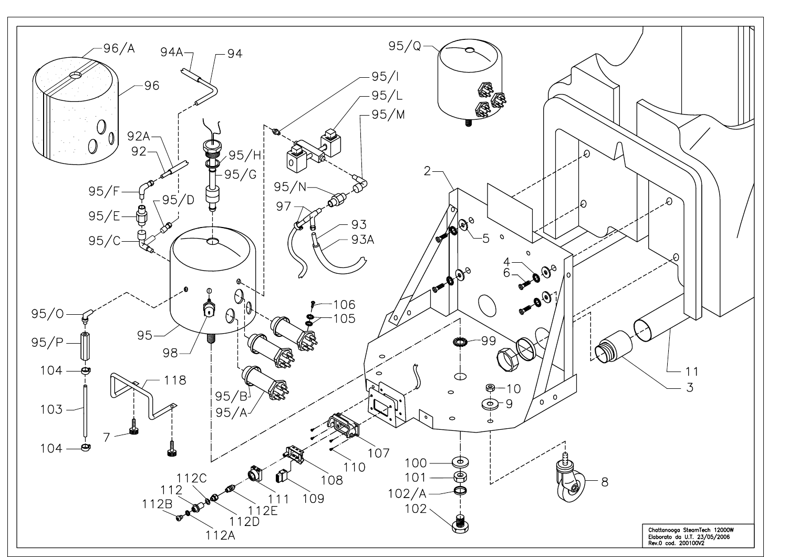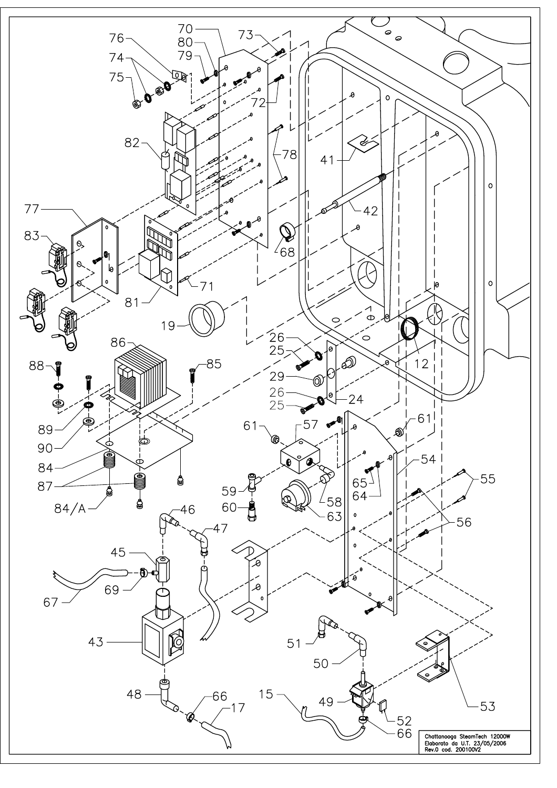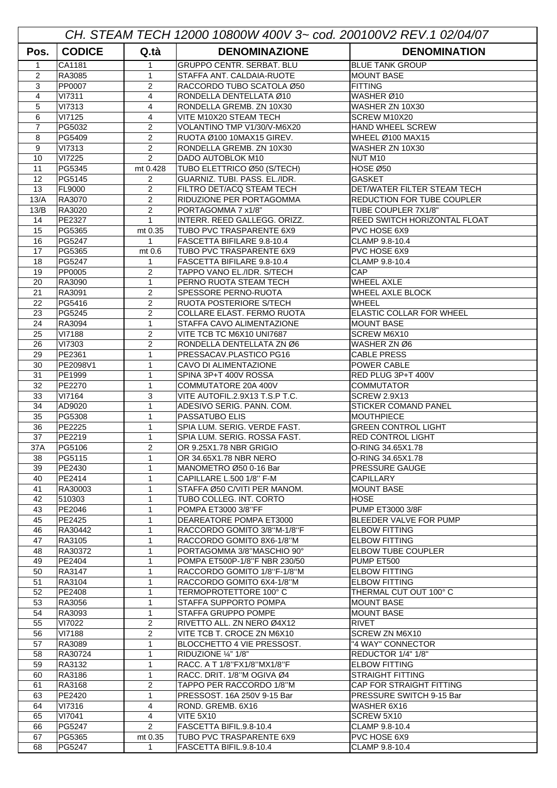| CH. STEAM TECH 12000 10800W 400V 3~ cod. 200100V2 REV.1 02/04/07 |                         |                     |                                                       |                                                                  |  |  |  |
|------------------------------------------------------------------|-------------------------|---------------------|-------------------------------------------------------|------------------------------------------------------------------|--|--|--|
| Pos.                                                             | <b>CODICE</b>           | Q.tà                | <b>DENOMINAZIONE</b>                                  | <b>DENOMINATION</b>                                              |  |  |  |
| $\mathbf{1}$                                                     | CA1181                  | $\mathbf{1}$        | <b>GRUPPO CENTR, SERBAT, BLU</b>                      | <b>BLUE TANK GROUP</b>                                           |  |  |  |
| 2                                                                | RA3085                  | 1                   | STAFFA ANT. CALDAIA-RUOTE                             | <b>MOUNT BASE</b>                                                |  |  |  |
| 3                                                                | PP0007                  | 2                   | RACCORDO TUBO SCATOLA Ø50                             | <b>FITTING</b>                                                   |  |  |  |
| $\overline{4}$                                                   | <b>VI7311</b>           | $\overline{4}$      | RONDELLA DENTELLATA Ø10                               | WASHER Ø10                                                       |  |  |  |
| 5                                                                | <b>VI7313</b>           | 4                   | RONDELLA GREMB. ZN 10X30                              | WASHER ZN 10X30                                                  |  |  |  |
| 6                                                                | VI7125                  | 4                   | VITE M10X20 STEAM TECH                                | SCREW M10X20                                                     |  |  |  |
| 7                                                                | PG5032                  | 2                   | VOLANTINO TMP V1/30/V-M6X20                           | <b>HAND WHEEL SCREW</b>                                          |  |  |  |
| 8                                                                | PG5409                  | $\overline{2}$      | RUOTA Ø100 10MAX15 GIREV.                             | <b>WHEEL Ø100 MAX15</b>                                          |  |  |  |
| 9                                                                | VI7313                  | 2                   | RONDELLA GREMB. ZN 10X30                              | WASHER ZN 10X30                                                  |  |  |  |
| 10                                                               | VI7225                  | $\overline{2}$      | DADO AUTOBLOK M10                                     | NUT M10                                                          |  |  |  |
| 11                                                               | PG5345                  | mt 0.428            | TUBO ELETTRICO Ø50 (S/TECH)                           | <b>HOSE Ø50</b>                                                  |  |  |  |
| 12                                                               | PG5145                  | 2                   | GUARNIZ. TUBI. PASS. EL./IDR.                         | <b>GASKET</b>                                                    |  |  |  |
| 13<br>13/A                                                       | <b>FL9000</b><br>RA3070 | 2<br>$\overline{2}$ | FILTRO DET/ACQ STEAM TECH<br>RIDUZIONE PER PORTAGOMMA | <b>DET/WATER FILTER STEAM TECH</b><br>REDUCTION FOR TUBE COUPLER |  |  |  |
| 13/B                                                             | RA3020                  | 2                   | PORTAGOMMA 7 x1/8"                                    | TUBE COUPLER 7X1/8"                                              |  |  |  |
| 14                                                               | PE2327                  | $\mathbf{1}$        | INTERR. REED GALLEGG. ORIZZ.                          | <b>REED SWITCH HORIZONTAL FLOAT</b>                              |  |  |  |
| 15                                                               | PG5365                  | mt 0.35             | TUBO PVC TRASPARENTE 6X9                              | PVC HOSE 6X9                                                     |  |  |  |
| 16                                                               | PG5247                  | $\mathbf{1}$        | FASCETTA BIFILARE 9.8-10.4                            | CLAMP 9.8-10.4                                                   |  |  |  |
| 17                                                               | PG5365                  | mt 0.6              | TUBO PVC TRASPARENTE 6X9                              | PVC HOSE 6X9                                                     |  |  |  |
| 18                                                               | PG5247                  | $\mathbf{1}$        | FASCETTA BIFILARE 9.8-10.4                            | CLAMP 9.8-10.4                                                   |  |  |  |
| 19                                                               | <b>PP0005</b>           | $\overline{2}$      | TAPPO VANO EL./IDR. S/TECH                            | CAP                                                              |  |  |  |
| 20                                                               | RA3090                  | $\mathbf{1}$        | PERNO RUOTA STEAM TECH                                | <b>WHEEL AXLE</b>                                                |  |  |  |
| 21                                                               | RA3091                  | $\overline{2}$      | SPESSORE PERNO-RUOTA                                  | WHEEL AXLE BLOCK                                                 |  |  |  |
| 22                                                               | PG5416                  | 2                   | RUOTA POSTERIORE S/TECH                               | <b>WHEEL</b>                                                     |  |  |  |
| 23                                                               | PG5245                  | 2                   | COLLARE ELAST. FERMO RUOTA                            | <b>ELASTIC COLLAR FOR WHEEL</b>                                  |  |  |  |
| 24                                                               | RA3094                  | $\mathbf{1}$        | STAFFA CAVO ALIMENTAZIONE                             | <b>MOUNT BASE</b>                                                |  |  |  |
| 25                                                               | <b>VI7188</b>           | $\overline{2}$      | VITE TCB TC M6X10 UNI7687                             | SCREW M6X10                                                      |  |  |  |
| 26                                                               | VI7303                  | $\overline{2}$      | RONDELLA DENTELLATA ZN Ø6                             | WASHER ZN Ø6                                                     |  |  |  |
| 29<br>30                                                         | PE2361<br>PE2098V1      | $\mathbf{1}$<br>1   | PRESSACAV.PLASTICO PG16<br>CAVO DI ALIMENTAZIONE      | <b>CABLE PRESS</b><br>POWER CABLE                                |  |  |  |
| 31                                                               | PE1999                  | $\mathbf{1}$        | SPINA 3P+T 400V ROSSA                                 | RED PLUG 3P+T 400V                                               |  |  |  |
| 32                                                               | PE2270                  | $\mathbf{1}$        | COMMUTATORE 20A 400V                                  | <b>COMMUTATOR</b>                                                |  |  |  |
| 33                                                               | VI7164                  | 3                   | VITE AUTOFIL.2.9X13 T.S.P T.C.                        | <b>SCREW 2.9X13</b>                                              |  |  |  |
| 34                                                               | AD9020                  | $\mathbf{1}$        | ADESIVO SERIG. PANN. COM.                             | STICKER COMAND PANEL                                             |  |  |  |
| 35                                                               | PG5308                  | $\mathbf{1}$        | PASSATUBO ELIS                                        | <b>MOUTHPIECE</b>                                                |  |  |  |
| 36                                                               | PE2225                  | 1                   | SPIA LUM. SERIG. VERDE FAST.                          | <b>GREEN CONTROL LIGHT</b>                                       |  |  |  |
| 37                                                               | PE2219                  | $\mathbf{1}$        | SPIA LUM. SERIG. ROSSA FAST.                          | <b>RED CONTROL LIGHT</b>                                         |  |  |  |
| 37A                                                              | PG5106                  | 2                   | OR 9.25X1.78 NBR GRIGIO                               | O-RING 34.65X1.78                                                |  |  |  |
| 38                                                               | PG5115                  | 1                   | OR 34.65X1.78 NBR NERO                                | O-RING 34.65X1.78                                                |  |  |  |
| 39                                                               | PE2430                  | 1                   | MANOMETRO Ø50 0-16 Bar                                | PRESSURE GAUGE                                                   |  |  |  |
| 40                                                               | PE2414                  | 1                   | CAPILLARE L.500 1/8" F-M                              | CAPILLARY                                                        |  |  |  |
| 41                                                               | RA30003                 | 1                   | STAFFA Ø50 C/VITI PER MANOM.                          | <b>MOUNT BASE</b>                                                |  |  |  |
| 42                                                               | 510303<br>PE2046        | 1<br>1              | TUBO COLLEG. INT. CORTO<br>POMPA ET3000 3/8"FF        | <b>HOSE</b><br>PUMP ET3000 3/8F                                  |  |  |  |
| 43<br>45                                                         | PE2425                  | 1                   | DEAREATORE POMPA ET3000                               | BLEEDER VALVE FOR PUMP                                           |  |  |  |
| 46                                                               | RA30442                 | 1                   | RACCORDO GOMITO 3/8"M-1/8"F                           | <b>ELBOW FITTING</b>                                             |  |  |  |
| 47                                                               | RA3105                  | $\mathbf{1}$        | RACCORDO GOMITO 8X6-1/8"M                             | <b>ELBOW FITTING</b>                                             |  |  |  |
| 48                                                               | RA30372                 | 1                   | PORTAGOMMA 3/8"MASCHIO 90°                            | <b>ELBOW TUBE COUPLER</b>                                        |  |  |  |
| 49                                                               | PE2404                  | 1                   | POMPA ET500P-1/8"F NBR 230/50                         | PUMP ET500                                                       |  |  |  |
| 50                                                               | RA3147                  | $\mathbf{1}$        | RACCORDO GOMITO 1/8"F-1/8"M                           | <b>ELBOW FITTING</b>                                             |  |  |  |
| 51                                                               | RA3104                  | 1                   | RACCORDO GOMITO 6X4-1/8"M                             | <b>ELBOW FITTING</b>                                             |  |  |  |
| 52                                                               | PE2408                  | 1                   | TERMOPROTETTORE 100°C                                 | THERMAL CUT OUT 100° C                                           |  |  |  |
| 53                                                               | RA3056                  | 1                   | STAFFA SUPPORTO POMPA                                 | <b>MOUNT BASE</b>                                                |  |  |  |
| 54                                                               | RA3093                  | 1                   | STAFFA GRUPPO POMPE                                   | <b>MOUNT BASE</b>                                                |  |  |  |
| 55                                                               | VI7022                  | $\overline{2}$      | RIVETTO ALL. ZN NERO Ø4X12                            | RIVET                                                            |  |  |  |
| 56                                                               | <b>VI7188</b>           | 2                   | VITE TCB T. CROCE ZN M6X10                            | SCREW ZN M6X10                                                   |  |  |  |
| 57                                                               | RA3089<br>RA30724       | 1                   | BLOCCHETTO 4 VIE PRESSOST.<br>RIDUZIONE 1/4" 1/8"     | "4 WAY" CONNECTOR<br>REDUCTOR 1/4" 1/8"                          |  |  |  |
| 58<br>59                                                         | RA3132                  | 1<br>1              | RACC. A T 1/8"FX1/8"MX1/8"F                           | <b>ELBOW FITTING</b>                                             |  |  |  |
| 60                                                               | RA3186                  | 1                   | RACC. DRIT. 1/8"M OGIVA Ø4                            | <b>STRAIGHT FITTING</b>                                          |  |  |  |
| 61                                                               | RA3168                  | $\overline{2}$      | TAPPO PER RACCORDO 1/8"M                              | CAP FOR STRAIGHT FITTING                                         |  |  |  |
| 63                                                               | PE2420                  | $\mathbf{1}$        | PRESSOST. 16A 250V 9-15 Bar                           | PRESSURE SWITCH 9-15 Bar                                         |  |  |  |
| 64                                                               | VI7316                  | 4                   | ROND. GREMB. 6X16                                     | WASHER 6X16                                                      |  |  |  |
| 65                                                               | VI7041                  | 4                   | <b>VITE 5X10</b>                                      | SCREW 5X10                                                       |  |  |  |
| 66                                                               | PG5247                  | $\overline{2}$      | FASCETTA BIFIL.9.8-10.4                               | CLAMP 9.8-10.4                                                   |  |  |  |
| 67                                                               | PG5365                  | mt 0.35             | TUBO PVC TRASPARENTE 6X9                              | PVC HOSE 6X9                                                     |  |  |  |
| 68                                                               | PG5247                  | 1                   | FASCETTA BIFIL.9.8-10.4                               | CLAMP 9.8-10.4                                                   |  |  |  |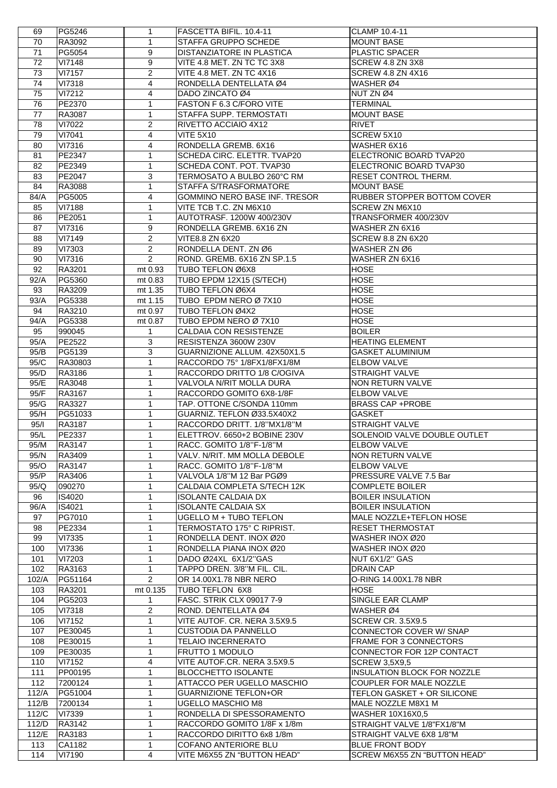| 69    | PG5246        | 1              | FASCETTA BIFIL. 10.4-11              | CLAMP 10.4-11                      |
|-------|---------------|----------------|--------------------------------------|------------------------------------|
| 70    | RA3092        | $\mathbf{1}$   | STAFFA GRUPPO SCHEDE                 | <b>MOUNT BASE</b>                  |
| 71    | PG5054        | 9              | <b>DISTANZIATORE IN PLASTICA</b>     | PLASTIC SPACER                     |
| 72    | <b>VI7148</b> | 9              | VITE 4.8 MET. ZN TC TC 3X8           | SCREW 4.8 ZN 3X8                   |
| 73    | <b>VI7157</b> | 2              | VITE 4.8 MET. ZN TC 4X16             | SCREW 4.8 ZN 4X16                  |
| 74    | <b>VI7318</b> | 4              | RONDELLA DENTELLATA Ø4               | WASHER Ø4                          |
| 75    | VI7212        | 4              | DADO ZINCATO Ø4                      | NUT ZN Ø4                          |
| 76    | PE2370        | 1              | FASTON F 6.3 C/FORO VITE             | <b>TERMINAL</b>                    |
| 77    | RA3087        | $\mathbf{1}$   | STAFFA SUPP. TERMOSTATI              | <b>MOUNT BASE</b>                  |
| 78    | VI7022        | $\overline{2}$ | RIVETTO ACCIAIO 4X12                 | <b>RIVET</b>                       |
| 79    | VI7041        | 4              | <b>VITE 5X10</b>                     | SCREW 5X10                         |
| 80    | VI7316        | 4              | RONDELLA GREMB. 6X16                 | WASHER 6X16                        |
| 81    | PE2347        | 1              | SCHEDA CIRC. ELETTR. TVAP20          | ELECTRONIC BOARD TVAP20            |
| 82    | PE2349        | $\mathbf{1}$   | SCHEDA CONT. POT. TVAP30             | ELECTRONIC BOARD TVAP30            |
| 83    | PE2047        | 3              | TERMOSATO A BULBO 260°C RM           | <b>RESET CONTROL THERM.</b>        |
|       |               |                |                                      |                                    |
| 84    | RA3088        | $\mathbf{1}$   | STAFFA S/TRASFORMATORE               | <b>MOUNT BASE</b>                  |
| 84/A  | PG5005        | 4              | <b>GOMMINO NERO BASE INF. TRESOR</b> | <b>RUBBER STOPPER BOTTOM COVER</b> |
| 85    | <b>VI7188</b> | 1              | VITE TCB T.C. ZN M6X10               | <b>SCREW ZN M6X10</b>              |
| 86    | PE2051        | 1              | AUTOTRASF. 1200W 400/230V            | TRANSFORMER 400/230V               |
| 87    | VI7316        | 9              | RONDELLA GREMB. 6X16 ZN              | WASHER ZN 6X16                     |
| 88    | VI7149        | 2              | <b>VITE8.8 ZN 6X20</b>               | <b>SCREW 8.8 ZN 6X20</b>           |
| 89    | VI7303        | 2              | RONDELLA DENT. ZN Ø6                 | WASHER ZN Ø6                       |
| 90    | VI7316        | $\overline{2}$ | ROND. GREMB. 6X16 ZN SP.1.5          | WASHER ZN 6X16                     |
| 92    | RA3201        | mt 0.93        | TUBO TEFLON Ø6X8                     | <b>HOSE</b>                        |
| 92/A  | PG5360        | mt 0.83        | TUBO EPDM 12X15 (S/TECH)             | <b>HOSE</b>                        |
| 93    | RA3209        | mt 1.35        | TUBO TEFLON Ø6X4                     | <b>HOSE</b>                        |
| 93/A  | PG5338        | mt 1.15        | TUBO EPDM NERO Ø 7X10                | <b>HOSE</b>                        |
| 94    | RA3210        | mt 0.97        | TUBO TEFLON Ø4X2                     | <b>HOSE</b>                        |
| 94/A  | PG5338        | mt 0.87        | TUBO EPDM NERO Ø 7X10                | <b>HOSE</b>                        |
| 95    | 990045        | 1              | CALDAIA CON RESISTENZE               | <b>BOILER</b>                      |
| 95/A  | PE2522        | 3              | RESISTENZA 3600W 230V                | <b>HEATING ELEMENT</b>             |
| 95/B  | PG5139        | 3              | GUARNIZIONE ALLUM. 42X50X1.5         | <b>GASKET ALUMINIUM</b>            |
| 95/C  | RA30803       | 1              | RACCORDO 75° 1/8FX1/8FX1/8M          | <b>ELBOW VALVE</b>                 |
| 95/D  | RA3186        | 1              | RACCORDO DRITTO 1/8 C/OGIVA          | <b>STRAIGHT VALVE</b>              |
| 95/E  | RA3048        | 1              | VALVOLA N/RIT MOLLA DURA             | <b>NON RETURN VALVE</b>            |
| 95/F  | RA3167        | $\mathbf{1}$   | RACCORDO GOMITO 6X8-1/8F             | <b>ELBOW VALVE</b>                 |
| 95/G  | RA3327        | 1              | TAP. OTTONE C/SONDA 110mm            | <b>BRASS CAP +PROBE</b>            |
| 95/H  | PG51033       | 1              | GUARNIZ. TEFLON Ø33.5X40X2           | <b>GASKET</b>                      |
| 95/1  | RA3187        | $\mathbf{1}$   | RACCORDO DRITT. 1/8"MX1/8"M          | <b>STRAIGHT VALVE</b>              |
| 95/L  | PE2337        | 1              | ELETTROV. 6650+2 BOBINE 230V         | SOLENOID VALVE DOUBLE OUTLET       |
| 95/M  | RA3147        | $\mathbf{1}$   | RACC. GOMITO 1/8"F-1/8"M             | <b>ELBOW VALVE</b>                 |
| 95/N  | RA3409        | $\mathbf{1}$   | VALV. N/RIT. MM MOLLA DEBOLE         | NON RETURN VALVE                   |
| 95/O  | RA3147        | 1              | RACC. GOMITO 1/8"F-1/8"M             | <b>ELBOW VALVE</b>                 |
| 95/P  | RA3406        | $\mathbf{1}$   | VALVOLA 1/8"M 12 Bar PGØ9            | PRESSURE VALVE 7.5 Bar             |
| 95/Q  | 090270        | 1              | CALDAIA COMPLETA S/TECH 12K          | <b>COMPLETE BOILER</b>             |
| 96    | IS4020        | $\mathbf{1}$   | <b>ISOLANTE CALDAIA DX</b>           | <b>BOILER INSULATION</b>           |
| 96/A  | IS4021        | $\mathbf{1}$   | <b>ISOLANTE CALDAIA SX</b>           | <b>BOILER INSULATION</b>           |
| 97    | PG7010        | 1              | UGELLO M + TUBO TEFLON               | MALE NOZZLE+TEFLON HOSE            |
|       |               |                |                                      |                                    |
| 98    | PE2334        | 1              | TERMOSTATO 175° C RIPRIST.           | <b>RESET THERMOSTAT</b>            |
| 99    | VI7335        | 1              | RONDELLA DENT. INOX Ø20              | WASHER INOX Ø20                    |
| 100   | <b>VI7336</b> | 1              | RONDELLA PIANA INOX Ø20              | WASHER INOX Ø20                    |
| 101   | VI7203        | $\mathbf{1}$   | DADO Ø24XL 6X1/2"GAS                 | NUT 6X1/2" GAS                     |
| 102   | RA3163        | $\mathbf{1}$   | TAPPO DREN. 3/8"M FIL. CIL.          | <b>DRAIN CAP</b>                   |
| 102/A | PG51164       | $\overline{2}$ | OR 14.00X1.78 NBR NERO               | O-RING 14.00X1.78 NBR              |
| 103   | RA3201        | mt 0.135       | TUBO TEFLON 6X8                      | HOSE                               |
| 104   | PG5203        | 1              | FASC. STRIK CLX 09017 7-9            | <b>SINGLE EAR CLAMP</b>            |
| 105   | <b>VI7318</b> | 2              | ROND. DENTELLATA Ø4                  | WASHER Ø4                          |
| 106   | VI7152        | $\mathbf{1}$   | VITE AUTOF. CR. NERA 3.5X9.5         | <b>SCREW CR. 3.5X9.5</b>           |
| 107   | PE30045       | 1              | <b>CUSTODIA DA PANNELLO</b>          | CONNECTOR COVER W/ SNAP            |
| 108   | PE30015       | 1              | <b>TELAIO INCERNERATO</b>            | <b>FRAME FOR 3 CONNECTORS</b>      |
| 109   | PE30035       | 1              | <b>FRUTTO 1 MODULO</b>               | CONNECTOR FOR 12P CONTACT          |
| 110   | VI7152        | 4              | VITE AUTOF.CR. NERA 3.5X9.5          | <b>SCREW 3,5X9,5</b>               |
| 111   | PP00195       | 1              | <b>BLOCCHETTO ISOLANTE</b>           | INSULATION BLOCK FOR NOZZLE        |
| 112   | 7200124       | $\mathbf{1}$   | ATTACCO PER UGELLO MASCHIO           | COUPLER FOR MALE NOZZLE            |
| 112/A | PG51004       | $\mathbf{1}$   | <b>GUARNIZIONE TEFLON+OR</b>         | TEFLON GASKET + OR SILICONE        |
| 112/B | 7200134       | $\mathbf{1}$   | <b>UGELLO MASCHIO M8</b>             | MALE NOZZLE M8X1 M                 |
| 112/C | VI7339        | 1              | RONDELLA DI SPESSORAMENTO            | <b>WASHER 10X16X0,5</b>            |
| 112/D | RA3142        | 1              | RACCORDO GOMITO 1/8F x 1/8m          | STRAIGHT VALVE 1/8"FX1/8"M         |
| 112/E | RA3183        | 1              | RACCORDO DIRITTO 6x8 1/8m            | STRAIGHT VALVE 6X8 1/8"M           |
| 113   | CA1182        | 1              | COFANO ANTERIORE BLU                 | <b>BLUE FRONT BODY</b>             |
| 114   | VI7190        | 4              | VITE M6X55 ZN "BUTTON HEAD"          | SCREW M6X55 ZN "BUTTON HEAD"       |